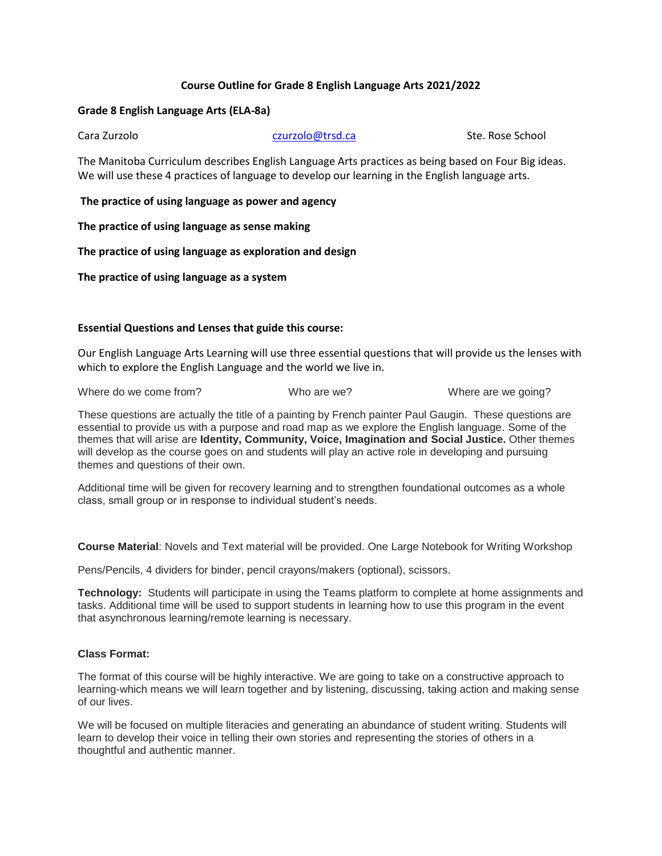# **Course Outline for Grade 8 English Language Arts 2021/2022**

### **Grade 8 English Language Arts (ELA-8a)**

Cara Zurzolo Czurzolo **Czurzolo** czurzolo czurzolo czurzolo czurzolo czurzolo Cara Ste. Rose School

The Manitoba Curriculum describes English Language Arts practices as being based on Four Big ideas. We will use these 4 practices of language to develop our learning in the English language arts.

**The practice of using language as power and agency**

**The practice of using language as sense making**

**The practice of using language as exploration and design**

**The practice of using language as a system**

## **Essential Questions and Lenses that guide this course:**

Our English Language Arts Learning will use three essential questions that will provide us the lenses with which to explore the English Language and the world we live in.

Where do we come from? Who are we? Who we we? Where are we going?

These questions are actually the title of a painting by French painter Paul Gaugin. These questions are essential to provide us with a purpose and road map as we explore the English language. Some of the themes that will arise are **Identity, Community, Voice, Imagination and Social Justice.** Other themes will develop as the course goes on and students will play an active role in developing and pursuing themes and questions of their own.

Additional time will be given for recovery learning and to strengthen foundational outcomes as a whole class, small group or in response to individual student's needs.

**Course Material**: Novels and Text material will be provided. One Large Notebook for Writing Workshop

Pens/Pencils, 4 dividers for binder, pencil crayons/makers (optional), scissors.

**Technology:** Students will participate in using the Teams platform to complete at home assignments and tasks. Additional time will be used to support students in learning how to use this program in the event that asynchronous learning/remote learning is necessary.

#### **Class Format:**

The format of this course will be highly interactive. We are going to take on a constructive approach to learning-which means we will learn together and by listening, discussing, taking action and making sense of our lives.

We will be focused on multiple literacies and generating an abundance of student writing. Students will learn to develop their voice in telling their own stories and representing the stories of others in a thoughtful and authentic manner.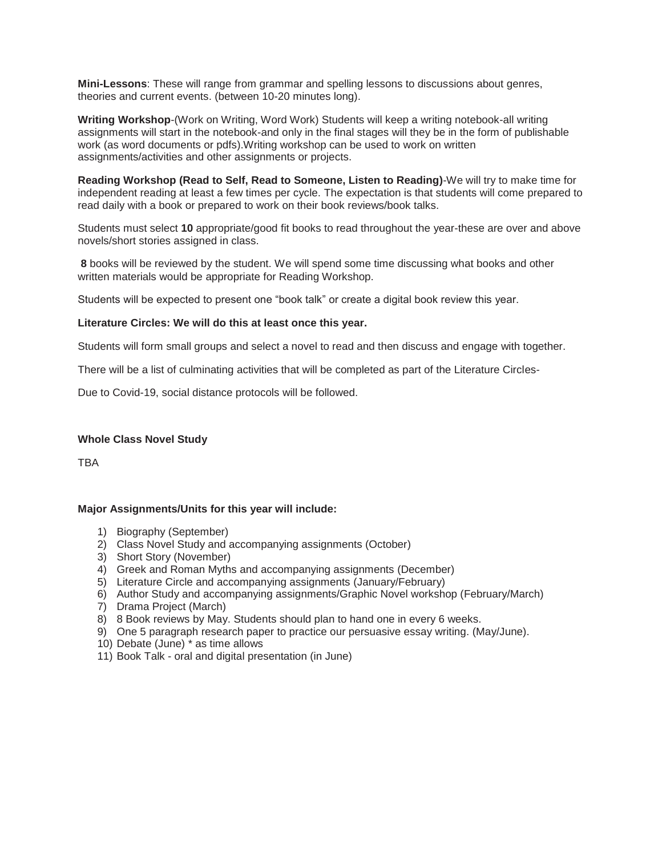**Mini-Lessons**: These will range from grammar and spelling lessons to discussions about genres, theories and current events. (between 10-20 minutes long).

**Writing Workshop**-(Work on Writing, Word Work) Students will keep a writing notebook-all writing assignments will start in the notebook-and only in the final stages will they be in the form of publishable work (as word documents or pdfs).Writing workshop can be used to work on written assignments/activities and other assignments or projects.

**Reading Workshop (Read to Self, Read to Someone, Listen to Reading)**-We will try to make time for independent reading at least a few times per cycle. The expectation is that students will come prepared to read daily with a book or prepared to work on their book reviews/book talks.

Students must select **10** appropriate/good fit books to read throughout the year-these are over and above novels/short stories assigned in class.

**8** books will be reviewed by the student. We will spend some time discussing what books and other written materials would be appropriate for Reading Workshop.

Students will be expected to present one "book talk" or create a digital book review this year.

#### **Literature Circles: We will do this at least once this year.**

Students will form small groups and select a novel to read and then discuss and engage with together.

There will be a list of culminating activities that will be completed as part of the Literature Circles-

Due to Covid-19, social distance protocols will be followed.

#### **Whole Class Novel Study**

**TRA** 

#### **Major Assignments/Units for this year will include:**

- 1) Biography (September)
- 2) Class Novel Study and accompanying assignments (October)
- 3) Short Story (November)
- 4) Greek and Roman Myths and accompanying assignments (December)
- 5) Literature Circle and accompanying assignments (January/February)
- 6) Author Study and accompanying assignments/Graphic Novel workshop (February/March)
- 7) Drama Project (March)
- 8) 8 Book reviews by May. Students should plan to hand one in every 6 weeks.
- 9) One 5 paragraph research paper to practice our persuasive essay writing. (May/June).
- 10) Debate (June) \* as time allows
- 11) Book Talk oral and digital presentation (in June)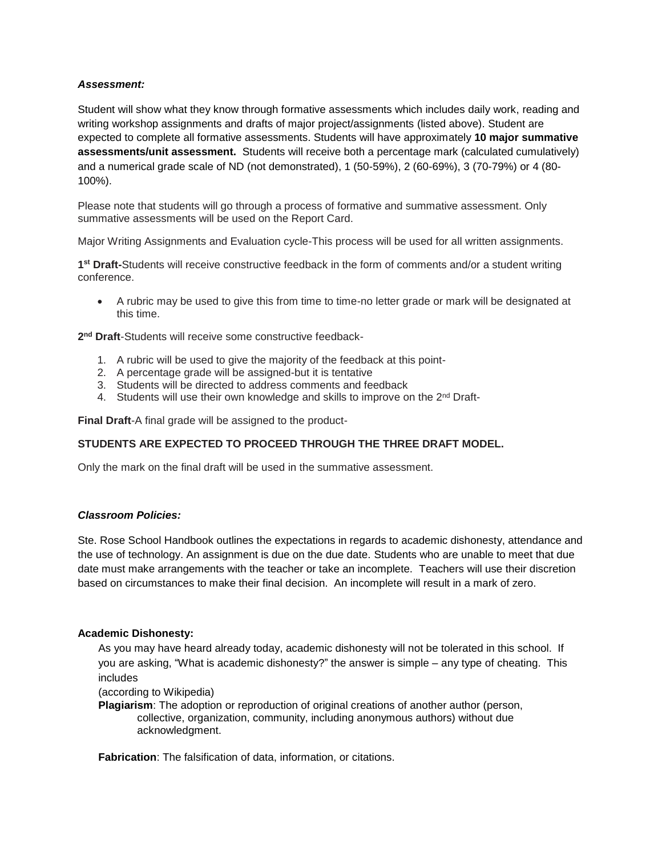## *Assessment:*

Student will show what they know through formative assessments which includes daily work, reading and writing workshop assignments and drafts of major project/assignments (listed above). Student are expected to complete all formative assessments. Students will have approximately **10 major summative assessments/unit assessment.** Students will receive both a percentage mark (calculated cumulatively) and a numerical grade scale of ND (not demonstrated), 1 (50-59%), 2 (60-69%), 3 (70-79%) or 4 (80- 100%).

Please note that students will go through a process of formative and summative assessment. Only summative assessments will be used on the Report Card.

Major Writing Assignments and Evaluation cycle-This process will be used for all written assignments.

**1 st Draft-**Students will receive constructive feedback in the form of comments and/or a student writing conference.

 A rubric may be used to give this from time to time-no letter grade or mark will be designated at this time.

**2 nd Draft**-Students will receive some constructive feedback-

- 1. A rubric will be used to give the majority of the feedback at this point-
- 2. A percentage grade will be assigned-but it is tentative
- 3. Students will be directed to address comments and feedback
- 4. Students will use their own knowledge and skills to improve on the 2<sup>nd</sup> Draft-

**Final Draft**-A final grade will be assigned to the product-

# **STUDENTS ARE EXPECTED TO PROCEED THROUGH THE THREE DRAFT MODEL.**

Only the mark on the final draft will be used in the summative assessment.

#### *Classroom Policies:*

Ste. Rose School Handbook outlines the expectations in regards to academic dishonesty, attendance and the use of technology. An assignment is due on the due date. Students who are unable to meet that due date must make arrangements with the teacher or take an incomplete. Teachers will use their discretion based on circumstances to make their final decision. An incomplete will result in a mark of zero.

#### **Academic Dishonesty:**

As you may have heard already today, academic dishonesty will not be tolerated in this school. If you are asking, "What is academic dishonesty?" the answer is simple – any type of cheating. This includes

(according to Wikipedia)

**Plagiarism**: The adoption or reproduction of original creations of another author (person, collective, organization, community, including anonymous authors) without due acknowledgment.

**Fabrication**: The falsification of data, information, or citations.